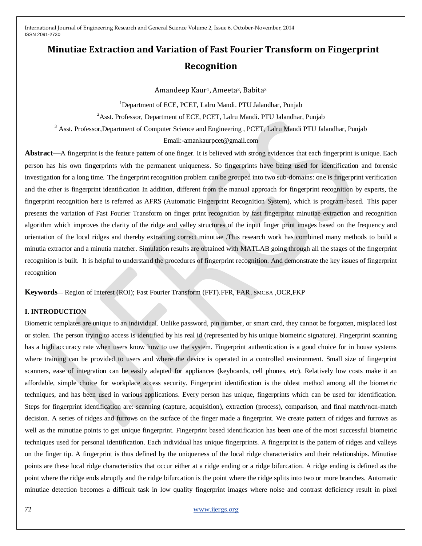# **Minutiae Extraction and Variation of Fast Fourier Transform on Fingerprint Recognition**

Amandeep Kaur<sup>1</sup>, Ameeta<sup>2</sup>, Babita<sup>3</sup>

<sup>1</sup>Department of ECE, PCET, Lalru Mandi. PTU Jalandhar, Punjab

<sup>2</sup> Asst. Professor, Department of ECE, PCET, Lalru Mandi. PTU Jalandhar, Punjab

<sup>3</sup> Asst. Professor, Department of Computer Science and Engineering , PCET, Lalru Mandi PTU Jalandhar, Punjab

Email:-amankaurpcet@gmail.com

**Abstract**—A fingerprint is the feature pattern of one finger. It is believed with strong evidences that each fingerprint is unique. Each person has his own fingerprints with the permanent uniqueness. So fingerprints have being used for identification and forensic investigation for a long time. The fingerprint recognition problem can be grouped into two sub-domains: one is fingerprint verification and the other is fingerprint identification In addition, different from the manual approach for fingerprint recognition by experts, the fingerprint recognition here is referred as AFRS (Automatic Fingerprint Recognition System), which is program-based. This paper presents the variation of Fast Fourier Transform on finger print recognition by fast fingerprint minutiae extraction and recognition algorithm which improves the clarity of the ridge and valley structures of the input finger print images based on the frequency and orientation of the local ridges and thereby extracting correct minutiae .This research work has combined many methods to build a minutia extractor and a minutia matcher. Simulation results are obtained with MATLAB going through all the stages of the fingerprint recognition is built. It is helpful to understand the procedures of fingerprint recognition. And demonstrate the key issues of fingerprint recognition

**Keywords**— Region of Interest (ROI); Fast Fourier Transform (FFT).FFR, FAR , SMCBA ,OCR,FKP

## **I. INTRODUCTION**

Biometric templates are unique to an individual. Unlike password, pin number, or smart card, they cannot be forgotten, misplaced lost or stolen. The person trying to access is identified by his real id (represented by his unique biometric signature). Fingerprint scanning has a high accuracy rate when users know how to use the system. Fingerprint authentication is a good choice for in house systems where training can be provided to users and where the device is operated in a controlled environment. Small size of fingerprint scanners, ease of integration can be easily adapted for appliances (keyboards, cell phones, etc). Relatively low costs make it an affordable, simple choice for workplace access security. Fingerprint identification is the oldest method among all the biometric techniques, and has been used in various applications. Every person has unique, fingerprints which can be used for identification. Steps for fingerprint identification are: scanning (capture, acquisition), extraction (process), comparison, and final match/non-match decision. A series of ridges and furrows on the surface of the finger made a fingerprint. We create pattern of ridges and furrows as well as the minutiae points to get unique fingerprint. Fingerprint based identification has been one of the most successful biometric techniques used for personal identification. Each individual has unique fingerprints. A fingerprint is the pattern of ridges and valleys on the finger tip. A fingerprint is thus defined by the uniqueness of the local ridge characteristics and their relationships. Minutiae points are these local ridge characteristics that occur either at a ridge ending or a ridge bifurcation. A ridge ending is defined as the point where the ridge ends abruptly and the ridge bifurcation is the point where the ridge splits into two or more branches. Automatic minutiae detection becomes a difficult task in low quality fingerprint images where noise and contrast deficiency result in pixel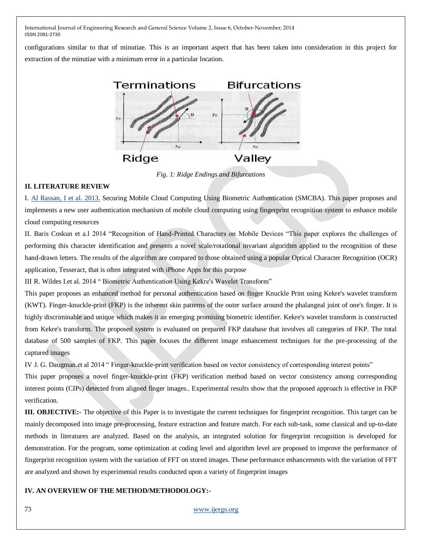configurations similar to that of minutiae. This is an important aspect that has been taken into consideration in this project for extraction of the minutiae with a minimum error in a particular location.



*Fig. 1: Ridge Endings and Bifurcations*

### **II. LITERATURE REVIEW**

I. [Al Rassan, I et al.](http://ieeexplore.ieee.org/search/searchresult.jsp?searchWithin=p_Authors:.QT.Al%20Rassan,%20I..QT.&newsearch=true) 2013. Securing Mobile Cloud Computing Using Biometric Authentication (SMCBA). This paper proposes and implements a new user authentication mechanism of mobile cloud computing using fingerprint recognition system to enhance mobile cloud computing resources

II. Baris Coskun et a.1 2014 "Recognition of Hand-Printed Characters on Mobile Devices "This paper explores the challenges of performing this character identification and presents a novel scale/rotational invariant algorithm applied to the recognition of these hand-drawn letters. The results of the algorithm are compared to those obtained using a popular Optical Character Recognition (OCR) application, Tesseract, that is often integrated with iPhone Apps for this purpose

III R. Wildes I.et al. 2014 "Biometric Authentication Using Kekre's Wavelet Transform"

This paper proposes an enhanced method for personal authentication based on finger Knuckle Print using Kekre's wavelet transform (KWT). Finger-knuckle-print (FKP) is the inherent skin patterns of the outer surface around the phalangeal joint of one's finger. It is highly discriminable and unique which makes it an emerging promising biometric identifier. Kekre's wavelet transform is constructed from Kekre's transform. The proposed system is evaluated on prepared FKP database that involves all categories of FKP. The total database of 500 samples of FKP. This paper focuses the different image enhancement techniques for the pre-processing of the captured images

IV J. G. Daugman.et al 2014 " Finger-knuckle-print verification based on vector consistency of corresponding interest points"

This paper proposes a novel finger-knuckle-print (FKP) verification method based on vector consistency among corresponding interest points (CIPs) detected from aligned finger images.. Experimental results show that the proposed approach is effective in FKP verification.

**III. OBJECTIVE:-** The objective of this Paper is to investigate the current techniques for fingerprint recognition. This target can be mainly decomposed into image pre-processing, feature extraction and feature match. For each sub-task, some classical and up-to-date methods in literatures are analyzed. Based on the analysis, an integrated solution for fingerprint recognition is developed for demonstration. For the program, some optimization at coding level and algorithm level are proposed to improve the performance of fingerprint recognition system with the variation of FFT on stored images. These performance enhancements with the variation of FFT are analyzed and shown by experimental results conducted upon a variety of fingerprint images

## **IV. AN OVERVIEW OF THE METHOD/METHODOLOGY:-**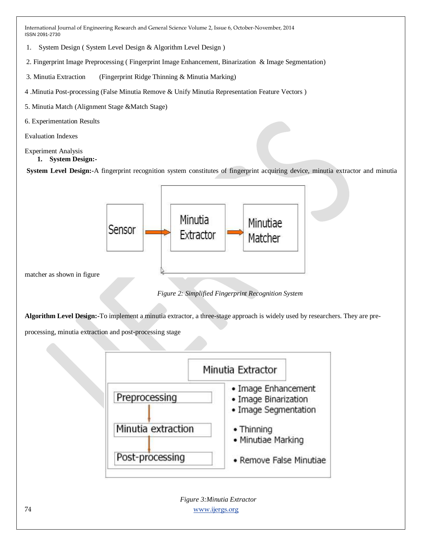- 1. System Design ( System Level Design & Algorithm Level Design )
- 2. Fingerprint Image Preprocessing ( Fingerprint Image Enhancement, Binarization & Image Segmentation)
- 3. Minutia Extraction (Fingerprint Ridge Thinning & Minutia Marking)
- 4 .Minutia Post-processing (False Minutia Remove & Unify Minutia Representation Feature Vectors )
- 5. Minutia Match (Alignment Stage &Match Stage)
- 6. Experimentation Results

Evaluation Indexes

# Experiment Analysis

**1. System Design:-**

**System Level Design:-**A fingerprint recognition system constitutes of fingerprint acquiring device, minutia extractor and minutia



*Figure 2: Simplified Fingerprint Recognition System*

**Algorithm Level Design:-**To implement a minutia extractor, a three-stage approach is widely used by researchers. They are pre-

processing, minutia extraction and post-processing stage

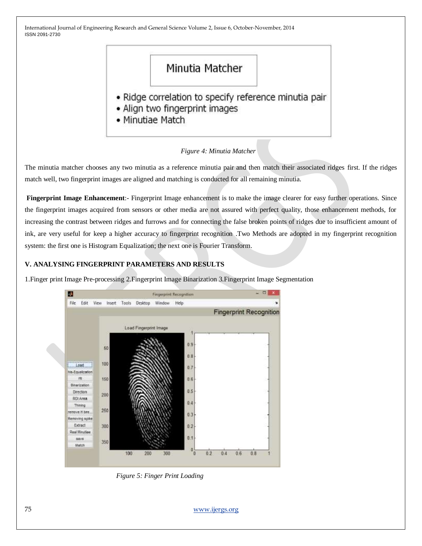# Minutia Matcher

- · Ridge correlation to specify reference minutia pair
- Align two fingerprint images
- Minutiae Match

# *Figure 4: Minutia Matcher*

The minutia matcher chooses any two minutia as a reference minutia pair and then match their associated ridges first. If the ridges match well, two fingerprint images are aligned and matching is conducted for all remaining minutia.

**Fingerprint Image Enhancement**:- Fingerprint Image enhancement is to make the image clearer for easy further operations. Since the fingerprint images acquired from sensors or other media are not assured with perfect quality, those enhancement methods, for increasing the contrast between ridges and furrows and for connecting the false broken points of ridges due to insufficient amount of ink, are very useful for keep a higher accuracy to fingerprint recognition .Two Methods are adopted in my fingerprint recognition system: the first one is Histogram Equalization; the next one is Fourier Transform.

# **V. ANALYSING FINGERPRINT PARAMETERS AND RESULTS**

1.Finger print Image Pre-processing 2.Fingerprint Image Binarization 3.Fingerprint Image Segmentation



 *Figure 5: Finger Print Loading*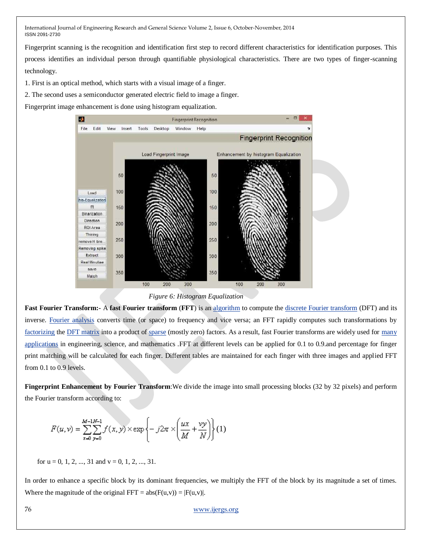Fingerprint scanning is the recognition and identification first step to record different characteristics for identification purposes. This process identifies an individual person through quantifiable physiological characteristics. There are two types of finger-scanning technology.

1. First is an optical method, which starts with a visual image of a finger.

2. The second uses a semiconductor generated electric field to image a finger.

Fingerprint image enhancement is done using histogram equalization.



*Figure 6: Histogram Equalization*

**Fast Fourier Transform:-** A **fast Fourier transform** (**FFT**) is an [algorithm](http://en.wikipedia.org/wiki/Algorithm) to compute th[e discrete Fourier transform](http://en.wikipedia.org/wiki/Discrete_Fourier_transform) (DFT) and its inverse. [Fourier analysis](http://en.wikipedia.org/wiki/Fourier_analysis) converts time (or space) to frequency and vice versa; an FFT rapidly computes such transformations by [factorizing](http://en.wikipedia.org/wiki/Matrix_decomposition) th[e DFT matrix](http://en.wikipedia.org/wiki/DFT_matrix) into a product of [sparse](http://en.wikipedia.org/wiki/Sparse_matrix) (mostly zero) factors. As a result, fast Fourier transforms are widely used for many [applications](http://en.wikipedia.org/wiki/Discrete_Fourier_transform#Applications) in engineering, science, and mathematics .FFT at different levels can be applied for 0.1 to 0.9.and percentage for finger print matching will be calculated for each finger. Different tables are maintained for each finger with three images and applied FFT from 0.1 to 0.9 levels.

**Fingerprint Enhancement by Fourier Transform**:We divide the image into small processing blocks (32 by 32 pixels) and perform the Fourier transform according to:

$$
F(u,v) = \sum_{x=0}^{M-1N-1} \sum_{y=0}^{y} f(x,y) \times \exp\left\{-j2\pi \times \left(\frac{ux}{M} + \frac{vy}{N}\right)\right\}(1)
$$

for  $u = 0, 1, 2, ..., 31$  and  $v = 0, 1, 2, ..., 31$ .

In order to enhance a specific block by its dominant frequencies, we multiply the FFT of the block by its magnitude a set of times. Where the magnitude of the original FFT =  $abs(F(u,v)) = |F(u,v)|$ .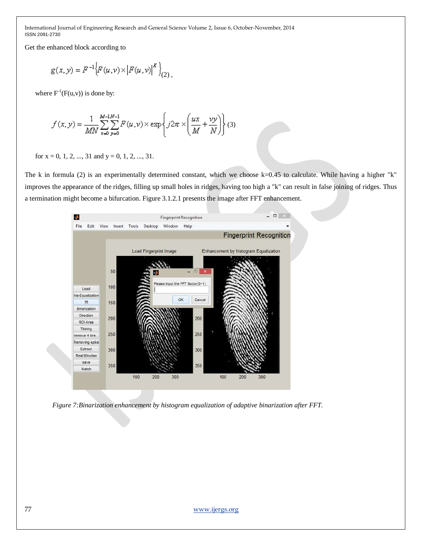Get the enhanced block according to

$$
g(x, y) = F^{-1}\Big\{F(u, v) \times \Big|F(u, v)\Big|^K\Big\}_{(2)},
$$

where  $F^{-1}(F(u,v))$  is done by:

$$
f(x, y) = \frac{1}{MN} \sum_{x=0}^{M-M-1} \sum_{y=0}^{N-1} F(u, v) \times \exp\left\{ j2\pi \times \left( \frac{ux}{M} + \frac{vy}{N} \right) \right\} (3)
$$

for  $x = 0, 1, 2, ..., 31$  and  $y = 0, 1, 2, ..., 31$ .

The k in formula (2) is an experimentally determined constant, which we choose k=0.45 to calculate. While having a higher "k" improves the appearance of the ridges, filling up small holes in ridges, having too high a "k" can result in false joining of ridges. Thus a termination might become a bifurcation. Figure 3.1.2.1 presents the image after FFT enhancement.



*Figure 7:Binarization enhancement by histogram equalization of adaptive binarization after FFT.*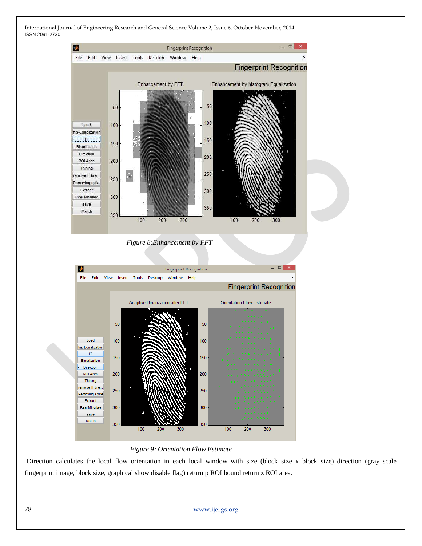

 *Figure 9: Orientation Flow Estimate*

Direction calculates the local flow orientation in each local window with size (block size x block size) direction (gray scale fingerprint image, block size, graphical show disable flag) return p ROI bound return z ROI area.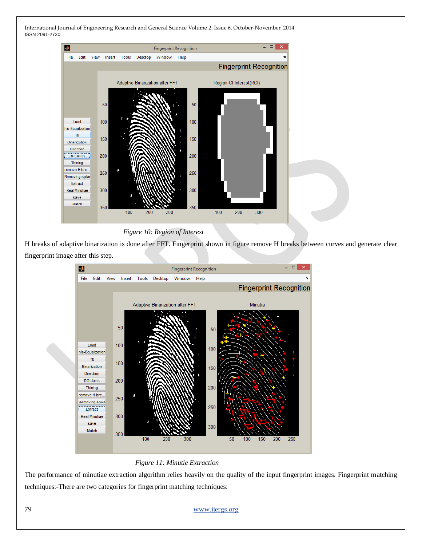

 *Figure 10: Region of Interest*

H breaks of adaptive binarization is done after FFT. Fingerprint shown in figure remove H breaks between curves and generate clear fingerprint image after this step.





The performance of minutiae extraction algorithm relies heavily on the quality of the input fingerprint images. Fingerprint matching techniques:-There are two categories for fingerprint matching techniques: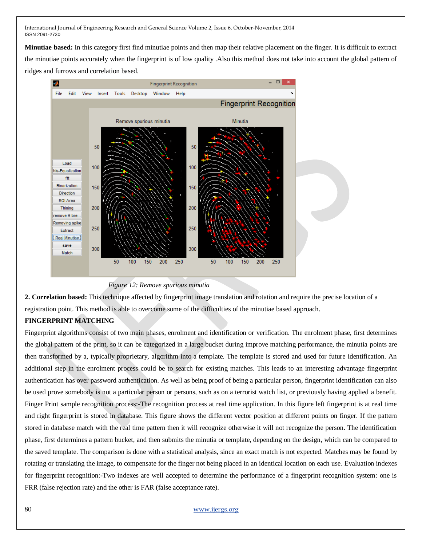**Minutiae based:** In this category first find minutiae points and then map their relative placement on the finger. It is difficult to extract the minutiae points accurately when the fingerprint is of low quality .Also this method does not take into account the global pattern of ridges and furrows and correlation based.



#### *Figure 12: Remove spurious minutia*

**2. Correlation based:** This technique affected by fingerprint image translation and rotation and require the precise location of a registration point. This method is able to overcome some of the difficulties of the minutiae based approach.

## **FINGERPRINT MATCHING**

Fingerprint algorithms consist of two main phases, enrolment and identification or verification. The enrolment phase, first determines the global pattern of the print, so it can be categorized in a large bucket during improve matching performance, the minutia points are then transformed by a, typically proprietary, algorithm into a template. The template is stored and used for future identification. An additional step in the enrolment process could be to search for existing matches. This leads to an interesting advantage fingerprint authentication has over password authentication. As well as being proof of being a particular person, fingerprint identification can also be used prove somebody is not a particular person or persons, such as on a terrorist watch list, or previously having applied a benefit. Finger Print sample recognition process:-The recognition process at real time application. In this figure left fingerprint is at real time and right fingerprint is stored in database. This figure shows the different vector position at different points on finger. If the pattern stored in database match with the real time pattern then it will recognize otherwise it will not recognize the person. The identification phase, first determines a pattern bucket, and then submits the minutia or template, depending on the design, which can be compared to the saved template. The comparison is done with a statistical analysis, since an exact match is not expected. Matches may be found by rotating or translating the image, to compensate for the finger not being placed in an identical location on each use. Evaluation indexes for fingerprint recognition:-Two indexes are well accepted to determine the performance of a fingerprint recognition system: one is FRR (false rejection rate) and the other is FAR (false acceptance rate).

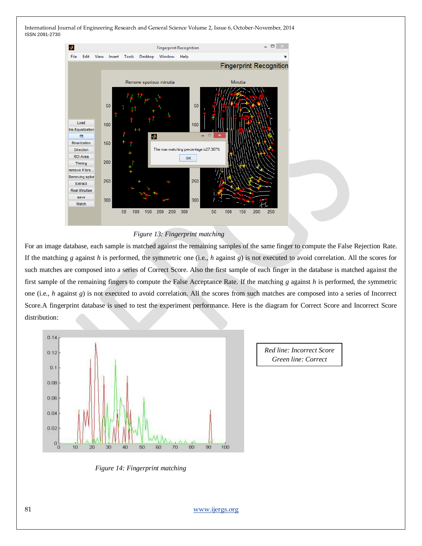

#### *Figure 13: Fingerprint matching*

For an image database, each sample is matched against the remaining samples of the same finger to compute the False Rejection Rate. If the matching *g* against *h* is performed, the symmetric one (i.e., *h* against *g*) is not executed to avoid correlation. All the scores for such matches are composed into a series of Correct Score. Also the first sample of each finger in the database is matched against the first sample of the remaining fingers to compute the False Acceptance Rate. If the matching *g* against *h* is performed, the symmetric one (i.e., *h* against *g*) is not executed to avoid correlation. All the scores from such matches are composed into a series of Incorrect Score.A fingerprint database is used to test the experiment performance. Here is the diagram for Correct Score and Incorrect Score distribution:



*Red line: Incorrect Score Green line: Correct Scores*

*Figure 14: Fingerprint matching*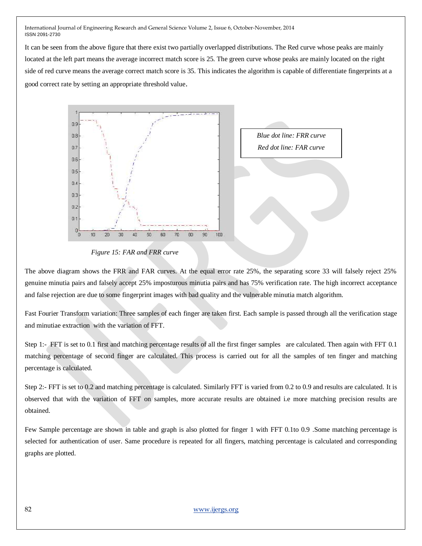It can be seen from the above figure that there exist two partially overlapped distributions. The Red curve whose peaks are mainly located at the left part means the average incorrect match score is 25. The green curve whose peaks are mainly located on the right side of red curve means the average correct match score is 35. This indicates the algorithm is capable of differentiate fingerprints at a good correct rate by setting an appropriate threshold value.



*Figure 15: FAR and FRR curve*

The above diagram shows the FRR and FAR curves. At the equal error rate 25%, the separating score 33 will falsely reject 25% genuine minutia pairs and falsely accept 25% imposturous minutia pairs and has 75% verification rate. The high incorrect acceptance and false rejection are due to some fingerprint images with bad quality and the vulnerable minutia match algorithm.

Fast Fourier Transform variation: Three samples of each finger are taken first. Each sample is passed through all the verification stage and minutiae extraction with the variation of FFT.

Step 1:- FFT is set to 0.1 first and matching percentage results of all the first finger samples are calculated. Then again with FFT 0.1 matching percentage of second finger are calculated. This process is carried out for all the samples of ten finger and matching percentage is calculated.

Step 2:- FFT is set to 0.2 and matching percentage is calculated. Similarly FFT is varied from 0.2 to 0.9 and results are calculated. It is observed that with the variation of FFT on samples, more accurate results are obtained i.e more matching precision results are obtained.

Few Sample percentage are shown in table and graph is also plotted for finger 1 with FFT 0.1to 0.9 .Some matching percentage is selected for authentication of user. Same procedure is repeated for all fingers, matching percentage is calculated and corresponding graphs are plotted.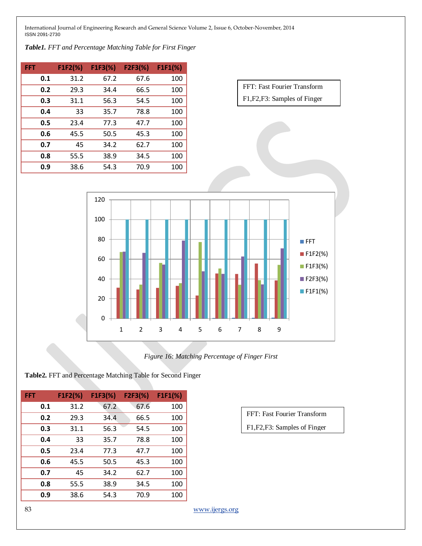*Table1. FFT and Percentage Matching Table for First Finger*

| FFT | $FIF2(\%)$ | $FIF3(\%)$ | F2F3(%) | $FIF1(\%)$ |
|-----|------------|------------|---------|------------|
| 0.1 | 31.2       | 67.2       | 67.6    | 100        |
| 0.2 | 29.3       | 34.4       | 66.5    | 100        |
| 0.3 | 31.1       | 56.3       | 54.5    | 100        |
| 0.4 | 33         | 35.7       | 78.8    | 100        |
| 0.5 | 23.4       | 77.3       | 47.7    | 100        |
| 0.6 | 45.5       | 50.5       | 45.3    | 100        |
| 0.7 | 45         | 34.2       | 62.7    | 100        |
| 0.8 | 55.5       | 38.9       | 34.5    | 100        |
| 0.9 | 38.6       | 54.3       | 70.9    | 100        |





*Figure 16: Matching Percentage of Finger First*

**Table2.** FFT and Percentage Matching Table for Second Finger

| FFT | $FIF2(\%)$ | $FIF3(\%)$ | F2F3(%) | $FIF1(\%)$ |
|-----|------------|------------|---------|------------|
| 0.1 | 31.2       | 67.2       | 67.6    | 100        |
| 0.2 | 29.3       | 34.4       | 66.5    | 100        |
| 0.3 | 31.1       | 56.3       | 54.5    | 100        |
| 0.4 | 33         | 35.7       | 78.8    | 100        |
| 0.5 | 23.4       | 77.3       | 47.7    | 100        |
| 0.6 | 45.5       | 50.5       | 45.3    | 100        |
| 0.7 | 45         | 34.2       | 62.7    | 100        |
| 0.8 | 55.5       | 38.9       | 34.5    | 100        |
| 0.9 | 38.6       | 54.3       | 70.9    | 100        |

FFT: Fast Fourier Transform F1,F2,F3: Samples of Finger